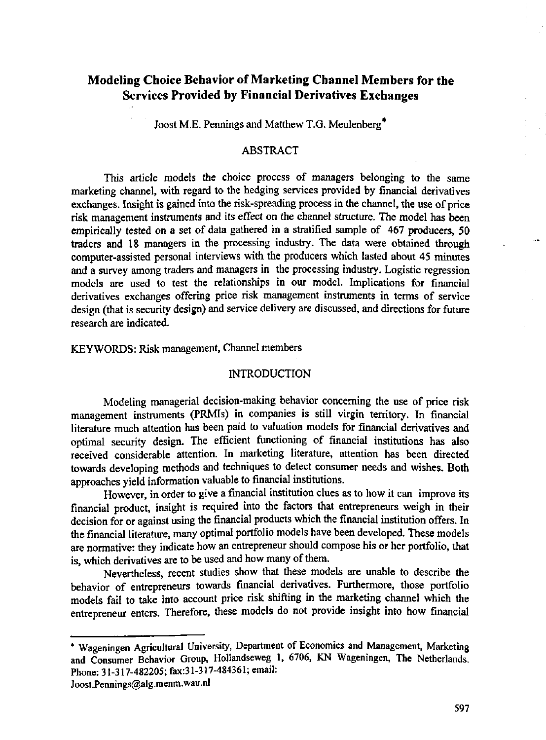# **Modeling Choice Behavior of Marketing Channel Members for the Services Provided by Financial Derivatives Exchanges**

Joost M.E. Pennings and Matthew T.G. Meulenberg\*

#### ABSTRACT

This article models the choice process of managers belonging to the same marketing channel, with regard to the hedging services provided by financial derivatives exchanges. Insight is gained into the risk-spreading process in the channel, the use of price risk management instruments and its effect on the channel structure. The model has been empirically tested on a set of data gathered in a stratified sample of 467 producers, 50 traders and 18 managers in the processing industry. The data were obtained through computer-assisted personal interviews with the producers which lasted about 45 minutes and a survey among traders and managers in the processing industry. Logistic regression models are used to test the relationships in our model. Implications for financial derivatives exchanges offering price risk management instruments in terms of service design (that is security design) and service delivery are discussed, and directions for future research are indicated.

KEYWORDS: Risk management, Channel members

# **INTRODUCTION**

Modeling managerial decision-making behavior concerning the use of price risk management instruments (PRMIs) in companies is still virgin territory. In financial literature much attention has been paid to valuation models for financial derivatives and optimal security design. The efficient functioning of financial institutions has also received considerable attention. In marketing literature, attention has been directed towards developing methods and techniques to detect consumer needs and wishes. Both approaches yield information valuable to financial institutions.

However, in order to give a financial institution clues as to how it can improve its financial product, insight is required into the factors that entrepreneurs weigh in their decision for or against using the financial products which the financial institution offers. In the financial literature, many optimal portfolio models have been developed. These models are normative: they indicate how an entrepreneur should compose his or her portfolio, that is, which derivatives are to be used and how many of them.

Nevertheless, recent studies show that these models are unable to describe the behavior of entrepreneurs towards financial derivatives. Furthermore, those portfolio models fail to take into account price risk shifting in the marketing channel which the entrepreneur enters. Therefore, these models do not provide insight into how financial

<sup>\*</sup> Wageningen Agricultural University, Department of Economics and Management, Marketing and Consumer Behavior Group, Hollandseweg 1, 6706, KN Wageningen, The Netherlands. Phone: 31-317-482205; fax:31-317-484361; email:

[Joost.Pennings@alg.menm.wau.nl](mailto:Joost.Pennings@alg.menm.wau.nl)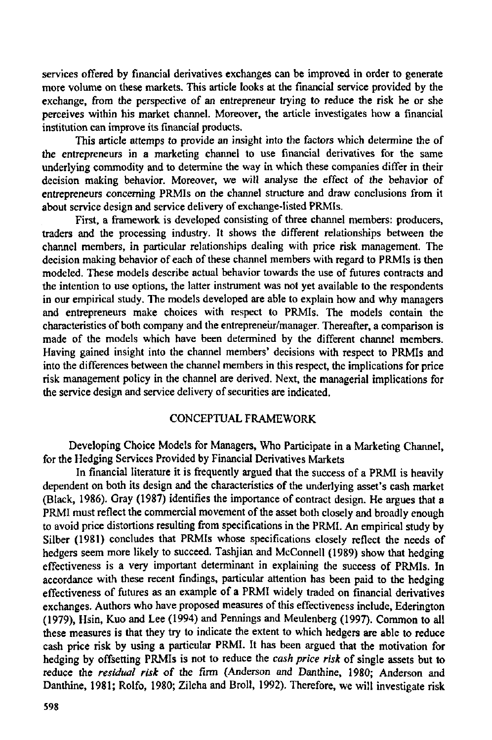services offered by financial derivatives exchanges can be improved in order to generate more volume on these markets. This article looks at the financial service provided by the exchange, from the perspective of an entrepreneur trying to reduce the risk he or she perceives within his market channel. Moreover, the article investigates how a financial institution can improve its financial products.

This article attemps to provide an insight into the factors which determine the of the entrepreneurs in a marketing channel to use financial derivatives for the same underlying commodity and to determine the way in which these companies differ in their decision making behavior. Moreover, we will analyse the effect of the behavior of entrepreneurs concerning PRMIs on the channel structure and draw conclusions from it about service design and service delivery of exchange-listed PRMIs.

First, a framework is developed consisting of three channel members: producers, traders and the processing industry. It shows the different relationships between the channel members, in particular relationships dealing with price risk management. The decision making behavior of each of these channel members with regard to PRMIs is then modeled. These models describe actual behavior towards the use of futures contracts and the intention to use options, the latter instrument was not yet available to the respondents in our empirical study. The models developed are able to explain how and why managers and entrepreneurs make choices with respect to PRMIs. The models contain the characteristics of both company and the entrepreneur/manager. Thereafter, a comparison is made of the models which have been determined by the different channel members. Having gained insight into the channel members' decisions with respect to PRMIs and into the differences between the channel members in this respect, the implications for price risk management policy in the channel are derived. Next, the managerial implications for the service design and service delivery of securities are indicated.

# CONCEPTUAL FRAMEWORK

Developing Choice Models for Managers, Who Participate in a Marketing Channel, for the Hedging Services Provided by Financial Derivatives Markets

In financial literature it is frequently argued that the success of a PRMI is heavily dependent on both its design and the characteristics of the underlying asset's cash market (Black, 1986). Gray (1987) identifies the importance of contract design. He argues that a PRMI must reflect the commercial movement of the asset both closely and broadly enough to avoid price distortions resulting from specifications in the PRMI. An empirical study by Silber (1981) concludes that PRMIs whose specifications closely reflect the needs of hedgers seem more likely to succeed. Tashjian and McConnell (1989) show that hedging effectiveness is a very important determinant in explaining the success of PRMIs. In accordance with these recent findings, particular attention has been paid to the hedging effectiveness of futures as an example of a PRMI widely traded on financial derivatives exchanges. Authors who have proposed measures of this effectiveness include, Ederington (1979), Hsin, Kuo and Lee (1994) and Pennings and Meulenberg (1997). Common to all these measures is that they try to indicate the extent to which hedgers are able to reduce cash price risk by using a particular PRMI. It has been argued that the motivation for hedging by offsetting PRMIs is not to reduce the *cash price risk* of single assets but to reduce the *residual risk* of the firm (Anderson and Danthine, 1980; Anderson and Danthine, 1981; Rolfo, 1980; Zilcha and Broil, 1992). Therefore, we will investigate risk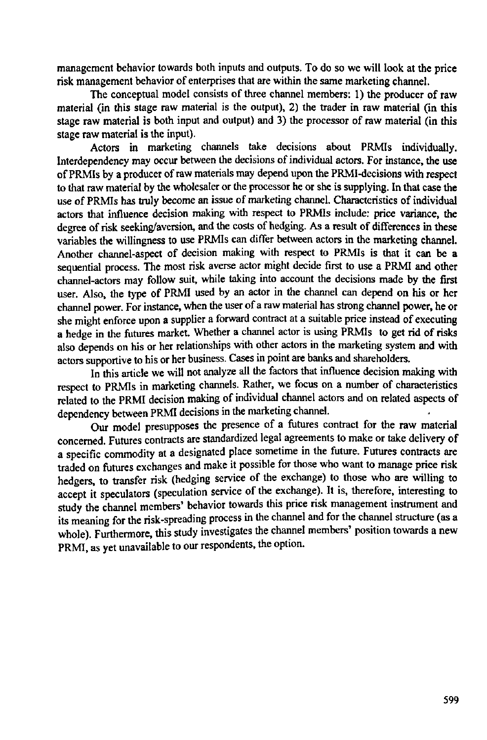management behavior towards both inputs and outputs. To do so we will look at the price risk management behavior of enterprises that are within the same marketing channel.

The conceptual model consists of three channel members: 1) the producer of raw material (in this stage raw material is the output), 2) the trader in raw material (in this stage raw material is both input and output) and 3) the processor of raw material (in this stage raw material is the input).

Actors in marketing channels take decisions about PRMIs individually. Interdependency may occur between the decisions of individual actors. For instance, the use of PRMIs by a producer of raw materials may depend upon the PRMI-decisions with respect to that raw material by the wholesaler or the processor he or she is supplying. In that case the use of PRMIs has truly become an issue of marketing channel. Characteristics of individual actors that influence decision making with respect to PRMIs include: price variance, the degree of risk seeking/aversion, and the costs of hedging. As a result of differences in these variables the willingness to use PRMIs can differ between actors in the marketing channel. Another channel-aspect of decision making with respect to PRMIs is that it can be a sequential process. The most risk averse actor might decide first to use a PRMI and other channel-actors may follow suit, while taking into account the decisions made by the first user. Also, the type of PRMI used by an actor in the channel can depend on his or her channel power. For instance, when the user of a raw material has strong channel power, he or she might enforce upon a supplier a forward contract at a suitable price instead of executing a hedge in the futures market. Whether a channel actor is using PRMIs to get rid of risks also depends on his or her relationships with other actors in the marketing system and with actors supportive to his or her business. Cases in point are banks and shareholders.

In this article we will not analyze all the factors that influence decision making with respect to PRMIs in marketing channels. Rather, we focus on a number of characteristics related to the PRMI decision making of individual channel actors and on related aspects of dependency between PRMI decisions in the marketing channel.

Our model presupposes the presence of a futures contract for the raw material concerned. Futures contracts are standardized legal agreements to make or take delivery of a specific commodity at a designated place sometime in the future. Futures contracts are traded on futures exchanges and make it possible for those who want to manage price risk hedgers, to transfer risk (hedging service of the exchange) to those who are willing to accept it speculators (speculation service of the exchange). It is, therefore, interesting to study the channel members' behavior towards this price risk management instrument and its meaning for the risk-spreading process in the channel and for the channel structure (as a whole). Furthermore, this study investigates the channel members' position towards a new PRMI, as yet unavailable to our respondents, the option.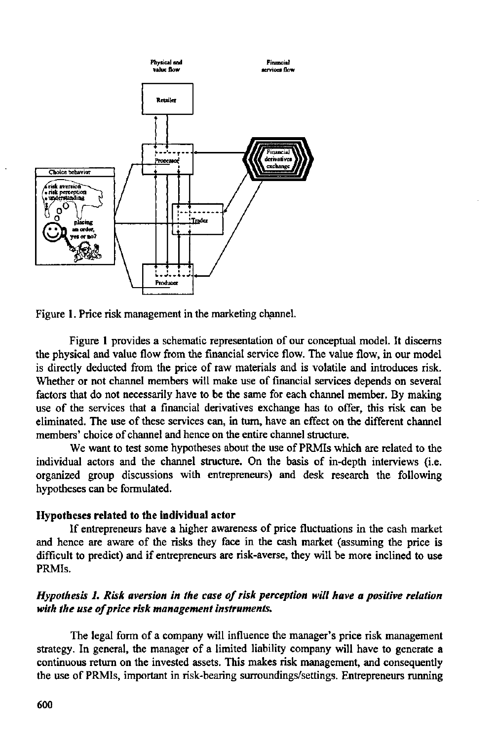



Figure 1 provides a schematic representation of our conceptual model. It discerns the physical and value flow from the financial service flow. The value flow, in our model is directly deducted from the price of raw materials and is volatile and introduces risk. Whether or not channel members will make use of financial services depends on several factors that do not necessarily have to be the same for each channel member. By making use of the services that **a** financial derivatives exchange has to offer, this risk can be eliminated. The use of these services can, in turn, have an effect on the different channel members' choice of channel and hence on the entire channel structure.

We want to test some hypotheses about the use of PRMIs which are related to the individual actors and the channel structure. On the basis of in-depth interviews (i.e. organized group discussions with entrepreneurs) and desk research the following hypotheses can be formulated.

## **Hypotheses related to the individual actor**

If entrepreneurs have a higher awareness of price fluctuations in the cash market and hence are aware of the risks they face in the cash market (assuming the price is difficult to predict) and if entrepreneurs are risk-averse, they will be more inclined to use PRMIs.

# *Hypothesis 1. Risk aversion in the case of risk perception will have a positive relation with the use of price risk management instruments.*

The legal form of a company will influence the manager's price risk management strategy. In general, the manager of a limited liability company will have to generate **a**  continuous return on the invested assets. This makes risk management, and consequently the use of PRMIs, important in risk-bearing surroundings/settings. Entrepreneurs running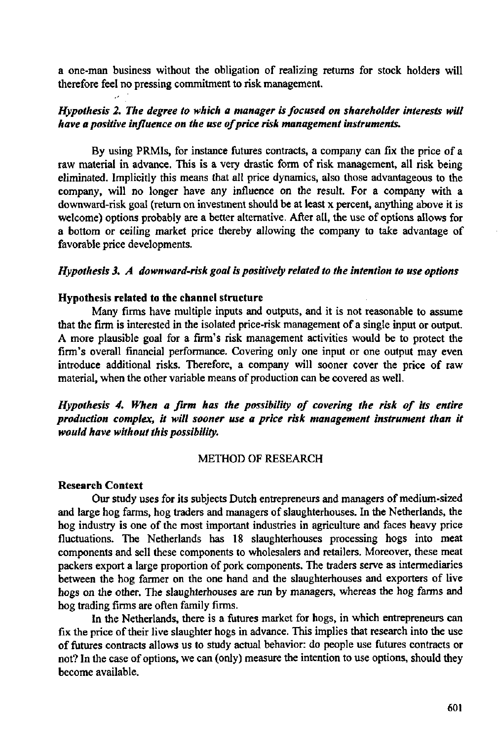**a** one-man business without the obligation of realizing returns for stock holders will therefore feel no pressing commitment to risk management.

# *Hypothesis 2. The degree to which a manager is focused on shareholder interests will have a positive influence on the use of price risk management instruments.*

By using PRMIs, for instance futures contracts, a company can fix the price of **a**  raw material in advance. This is **a** very drastic form of risk management, all risk being eliminated. Implicitly this means that all price dynamics, also those advantageous to the company, will no longer have any influence on the result. For a company with a downward-risk goal (return on investment should be at least x percent, anything above it is welcome) options probably are a better alternative. After all, the use of options allows for **a** bottom or ceiling market price thereby allowing the company to take advantage of favorable price developments.

#### *Hypothesis 3. A downward-risk goal is positively related to the intention to use options*

#### **Hypothesis related to the channel structure**

Many firms have multiple inputs and outputs, and it is not reasonable to assume that the firm is interested in the isolated price-risk management of **a** single input or output. A more plausible goal for **a** firm's risk management activities would be to protect the firm's overall financial performance. Covering only one input or one output may even introduce additional risks. Therefore, a company will sooner cover the price of raw material, when the other variable means of production can be covered as well.

# *Hypothesis 4. When a firm has the possibility of covering the risk of its entire production complex, it will sooner use a price risk management instrument than it would have without this possibility.*

#### METHOD OF RESEARCH

#### **Research Context**

Our study uses for its subjects Dutch entrepreneurs and managers of medium-sized and large hog farms, hog traders and managers of slaughterhouses. In the Netherlands, the hog industry is one of the most important industries in agriculture and faces heavy price fluctuations. The Netherlands has 18 slaughterhouses processing hogs into meat components and sell these components to wholesalers and retailers. Moreover, these meat packers export a large proportion of pork components. The traders serve as intermediaries between the hog farmer on the one hand and the slaughterhouses and exporters of live hogs on the other. The slaughterhouses are run by managers, whereas the hog farms and hog trading firms are often family firms.

In the Netherlands, there is **a** futures market for hogs, in which entrepreneurs can fix the price of their live slaughter hogs in advance. This implies that research into the use of futures contracts allows us to study actual behavior: do people use futures contracts or not? In the case of options, we can (only) measure the intention to use options, should they become available.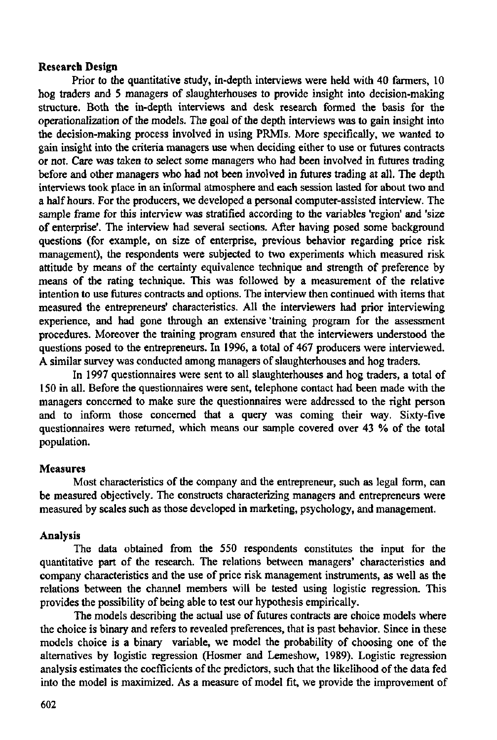## **Research Design**

Prior to the quantitative study, in-depth interviews were held with 40 farmers, 10 hog traders and 5 managers of slaughterhouses to provide insight into decision-making structure. Both the in-depth interviews and desk research formed the basis for the operationalization of the models. The goal of the depth interviews was to gain insight into the decision-making process involved in using PRMIs. More specifically, we wanted to gain insight into the criteria managers use when deciding either to use or futures contracts or not. Care was taken to select some managers who had been involved in futures trading before and other managers who had not been involved in futures trading at all. The depth interviews took place in an informal atmosphere and each session lasted for about two and a half hours. For the producers, we developed a personal computer-assisted interview. The sample frame for this interview was stratified according to the variables 'region' and 'size of enterprise'. The interview had several sections. After having posed some background questions (for example, on size of enterprise, previous behavior regarding price risk management), the respondents were subjected to two experiments which measured risk attitude by means of the certainty equivalence technique and strength of preference by means of the rating technique. This was followed by a measurement of the relative intention to use futures contracts and options. The interview then continued with items that measured the entrepreneurs' characteristics. All the interviewers had prior interviewing experience, and had gone through an extensive 'training program for the assessment procedures. Moreover the training program ensured that the interviewers understood the questions posed to the entrepreneurs. In 1996, a total of 467 producers were interviewed. A similar survey was conducted among managers of slaughterhouses and hog traders.

In 1997 questionnaires were sent to all slaughterhouses and hog traders, a total of 150 in all. Before the questionnaires were sent, telephone contact had been made with the managers concerned to make sure the questionnaires were addressed to the right person and to inform those concerned that a query was coming their way. Sixty-five questionnaires were returned, which means our sample covered over 43 % of the total population.

## **Measures**

Most characteristics of the company and the entrepreneur, such as legal form, can be measured objectively. The constructs characterizing managers and entrepreneurs were measured by scales such as those developed in marketing, psychology, and management.

## **Analysis**

The data obtained from the 550 respondents constitutes the input for the quantitative part of the research. The relations between managers' characteristics and company characteristics and the use of price risk management instruments, as well as the relations between the channel members will be tested using logistic regression. This provides the possibility of being able to test our hypothesis empirically.

The models describing the actual use of futures contracts are choice models where the choice is binary and refers to revealed preferences, that is past behavior. Since in these models choice is a binary variable, we model the probability of choosing one of the alternatives by logistic regression (Hosmer and Lemeshow, 1989). Logistic regression analysis estimates the coefficients of the predictors, such that the likelihood of the data fed into the model is maximized. As a measure of model fit, we provide the improvement of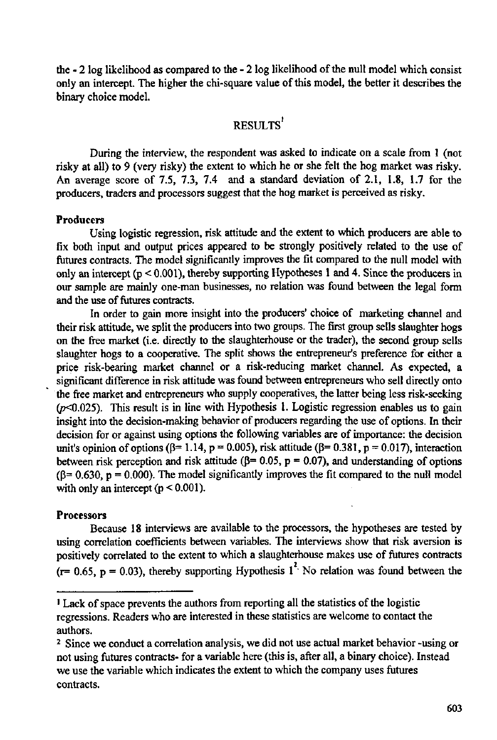the - 2 log likelihood as compared to the - 2 log likelihood of the null model which consist only an intercept. The higher the chi-square value of this model, the better it describes the binary choice model.

# RESULTS'

During the interview, the respondent was asked to indicate on a scale from 1 (not risky at all) to 9 (very risky) the extent to which he or she felt the hog market was risky. An average score of 7.5, 7.3, 7.4 and a standard deviation of 2.1, 1.8, 1.7 for the producers, traders and processors suggest that the hog market is perceived as risky.

#### Producers

Using logistic regression, risk attitude and the extent to which producers are able to fix both input and output prices appeared to be strongly positively related to the use of futures contracts. The model significantly improves the fit compared to the null model with only an intercept (p < 0.001), thereby supporting Hypotheses 1 and 4. Since the producers in our sample are mainly one-man businesses, no relation was found between the legal form and the use of futures contracts.

In order to gain more insight into the producers' choice of marketing channel and their risk attitude, we split the producers into two groups. The first group sells slaughter hogs on the free market (i.e. directly to the slaughterhouse or the trader), the second group sells slaughter hogs to a cooperative. The split shows the entrepreneur's preference for either a price risk-bearing market channel or a risk-reducing market channel. As expected, a significant difference in risk attitude was found between entrepreneurs who sell directly onto the free market and entrepreneurs who supply cooperatives, the latter being less risk-seeking  $(p<0.025)$ . This result is in line with Hypothesis 1. Logistic regression enables us to gain insight into the decision-making behavior of producers regarding the use of options. In their decision for or against using options the following variables are of importance: the decision unit's opinion of options ( $\beta$ = 1.14, p = 0.005), risk attitude ( $\beta$ = 0.381, p = 0.017), interaction between risk perception and risk attitude ( $\beta$ = 0.05, p = 0.07), and understanding of options  $(\beta = 0.630, p = 0.000)$ . The model significantly improves the fit compared to the null model with only an intercept  $(p < 0.001)$ .

## **Processors**

Because 18 interviews are available to the processors, the hypotheses are tested by using correlation coefficients between variables. The interviews show that risk aversion is positively correlated to the extent to which a slaughterhouse makes use of futures contracts ( $r= 0.65$ ,  $p = 0.03$ ), thereby supporting Hypothesis  $1^2$ . No relation was found between the

<sup>&</sup>lt;sup>1</sup> Lack of space prevents the authors from reporting all the statistics of the regressions. Readers who are interested in these statistics are welcome to contact the authors.

<sup>&</sup>lt;sup>2</sup> Since we conduct a correlation analysis, we did not use actual market behavior not using futures contracts- for a variable here (this is, after all, a binary choice). Instead we use the variable which indicates the extent to which the company uses futures contracts.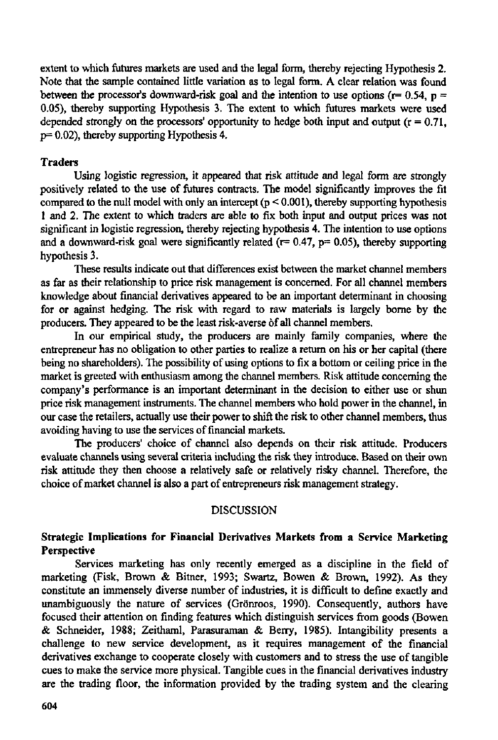extent to which futures markets are used and the legal form, thereby rejecting Hypothesis 2. Note that the sample contained little variation as to legal form. A clear relation was found between the processor's downward-risk goal and the intention to use options ( $r= 0.54$ ,  $p =$ 0.05), thereby supporting Hypothesis 3. The extent to which futures markets were used depended strongly on the processors' opportunity to hedge both input and output ( $r = 0.71$ , p= 0.02), thereby supporting Hypothesis **4.** 

# **Traders**

Using logistic regression, it appeared that risk attitude and legal form are strongly positively related to the use of futures contracts. The model significantly improves the fit compared to the null model with only an intercept ( $p < 0.001$ ), thereby supporting hypothesis 1 and 2. The extent to which traders are able to fix both input and output prices was not significant in logistic regression, thereby rejecting hypothesis 4. The intention to use options and a downward-risk goal were significantly related ( $r= 0.47$ ,  $p= 0.05$ ), thereby supporting hypothesis 3.

These results indicate out that differences exist between the market channel members as far as their relationship to price risk management is concerned. For all channel members knowledge about financial derivatives appeared to be an important determinant in choosing for or against hedging. The risk with regard to raw materials is largely borne by the producers. They appeared to be the least risk-averse óf all channel members.

In our empirical study, the producers are mainly family companies, where the entrepreneur has no obligation to other parties to realize a return on his or her capital (there being no shareholders). The possibility of using options to fix a bottom or ceiling price in the market is greeted with enthusiasm among the channel members. Risk attitude concerning the company's performance is an important determinant in the decision to either use or shun price risk management instruments. The channel members who hold power in the channel, in our case the retailers, actually use their power to shift the risk to other channel members, thus avoiding having to use the services of inancial markets.

The producers' choice of channel also depends on their risk attitude. Producers evaluate channels using several criteria including the risk they introduce. Based on their own risk attitude they then choose **a** relatively safe or relatively risky channel. Therefore, the choice of market channel is also a part of entrepreneurs risk management strategy.

## DISCUSSION

# **Strategic Implications for Financial Derivatives Markets from a Service Marketing Perspective**

Services marketing has only recently emerged as a discipline in the field of marketing (Fisk, Brown & Bitner, 1993; Swartz, Bowen & Brown, 1992). As they constitute an immensely diverse number of industries, it is difficult to define exactly and unambiguously the nature of services (Grönroos, 1990). Consequently, authors have focused their attention on finding features which distinguish services from goods (Bowen & Schneider, 1988; Zeithaml, Parasuraman & Berry, 1985). Intangibility presents a challenge to new service development, as it requires management of the financial derivatives exchange to cooperate closely with customers and to stress the use of tangible cues to make the service more physical. Tangible cues in the financial derivatives industry are the trading floor, the information provided by the trading system and the clearing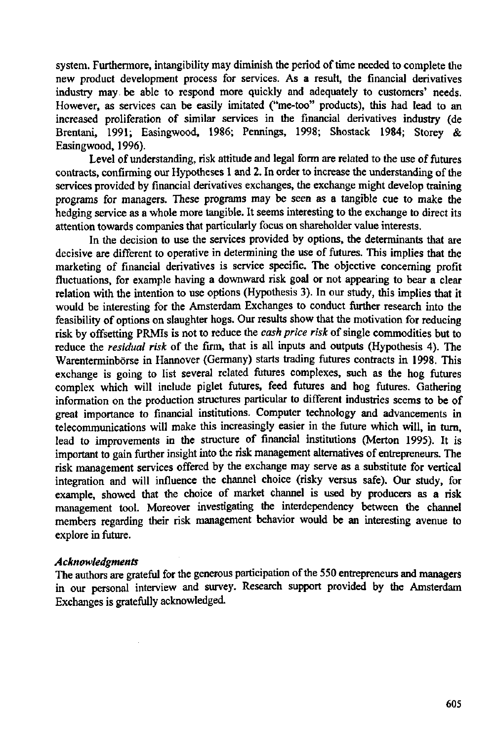system. Furthermore, intangibility may diminish the period of time needed to complete the new product development process for services. As a result, the financial derivatives industry may be able to respond more quickly and adequately to customers' needs. However, as services can be easily imitated ("me-too" products), this had lead to an increased proliferation of similar services in the financial derivatives industry (de Brentani, 1991; Easingwood, 1986; Pennings, 1998; Shostack 1984; Storey & Easingwood, 1996).

Level of understanding, risk attitude and legal form are related to the use of futures contracts, confirming our Hypotheses 1 and 2. In order to increase the understanding of the services provided by financial derivatives exchanges, the exchange might develop training programs for managers. These programs may be seen as a tangible cue to make the hedging service as a whole more tangible. It seems interesting to the exchange to direct its attention towards companies that particularly focus on shareholder value interests.

In the decision to use the services provided by options, the determinants that are decisive are different to operative in determining the use of futures. This implies that the marketing of financial derivatives is service specific. The objective concerning profit fluctuations, for example having a downward risk goal or not appearing to bear a clear relation with the intention to use options (Hypothesis 3). In our study, this implies that it would be interesting for the Amsterdam Exchanges to conduct further research into the feasibility of options on slaughter hogs. Our results show that the motivation for reducing risk by offsetting PRMIs is not to reduce the *cash price risk* of single commodities but to reduce the *residual risk* of the firm, that is all inputs and outputs (Hypothesis 4). The Warenterminbörse in Hannover (Germany) starts trading futures contracts in 1998. This exchange is going to list several related futures complexes, such as the hog futures complex which will include piglet futures, feed futures and hog futures. Gathering information on the production structures particular to different industries seems to be of great importance to financial institutions. Computer technology and advancements in telecommunications will make this increasingly easier in the future which will, in turn, lead to improvements in the structure of financial institutions (Merton 1995). It is important to gain further insight into the risk management alternatives of entrepreneurs. The risk management services offered by the exchange may serve as a substitute for vertical integration and will influence the channel choice (risky versus safe). Our study, for example, showed that the choice of market channel is used by producers as a risk management tool. Moreover investigating the interdependency between the channel members regarding their risk management behavior would be an interesting avenue to explore in future.

#### *Acknowledgments*

The authors are grateful for the generous participation of the 550 entrepreneurs and managers in our personal interview and survey. Research support provided by the Amsterdam Exchanges is gratefully acknowledged.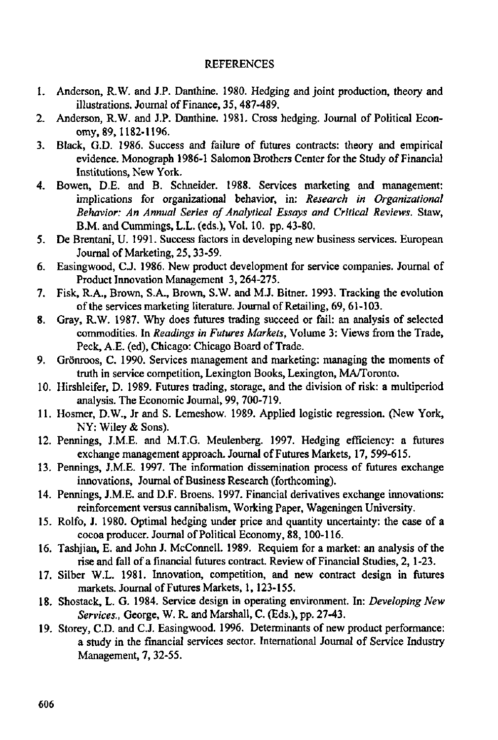## REFERENCES

- 1. Anderson, R.W. and J.P. Danthine. 1980. Hedging and joint production, theory and illustrations. Journal of Finance, 35,487-489.
- 2. Anderson, R.W. and J.P. Danthine. 1981. Cross hedging. Journal of Political Economy, 89,1182-1196.
- 3. Black, G.D. 1986. Success and failure of futures contracts: theory and empirical evidence. Monograph 1986-1 Salomon Brothers Center for the Study of Financial Institutions, New York.
- 4. Bowen, D.E. and B. Schneider. 1988. Services marketing and management: implications for organizational behavior, in: *Research in Organizational Behavior: An Annual Series of Analytical Essays and Critical Reviews.* Staw, B.M. and Cummings, L.L. (eds.), Vol. 10. pp. 43-80.
- 5. De Brentani, U. 1991. Success factors in developing new business services. European Journal of Marketing, 25,33-59.
- 6. Easingwood, C.J. 1986. New product development for service companies. Journal of Product Innovation Management 3,264-275.
- 7. Fisk, R.A., Brown, S.A., Brown, S.W. and M.J. Bitner. 1993. Tracking the evolution of the services marketing literature. Journal of Retailing, 69, 61-103.
- 8. Gray, R.W. 1987. Why does futures trading succeed or fail: an analysis of selected commodities. In *Readings in Futures Markets,* Volume 3: Views from the Trade, Peck, A.E. (ed), Chicago: Chicago Board of Trade.
- 9. Grönroos, C. 1990. Services management and marketing: managing the moments of truth in service competition, Lexington Books, Lexington, MA/Toronto.
- 10. Hirshleifer, D. 1989. Futures trading, storage, and the division of risk: a multiperiod analysis. The Economic Journal, 99, 700-719.
- 11. Hosmer, D.W., Jr and S. Lemeshow. 1989. Applied logistic regression. (New York, NY: Wiley & Sons).
- 12. Pennings, J.M.E. and M.T.G. Meulenberg. 1997. Hedging efficiency: a futures exchange management approach. Journal of Futures Markets, 17, 599-615.
- 13. Pennings, J.M.E. 1997. The information dissemination process of futures exchange innovations, Journal of Business Research (forthcoming).
- 14. Pennings, J.M.E. and D.F. Broens. 1997. Financial derivatives exchange innovations: reinforcement versus cannibalism, Working Paper, Wageningen University.
- 15. Rolfo, J. 1980. Optimal hedging under price and quantity uncertainty: the case of a cocoa producer. Journal of Political Economy, 88,100-116.
- 16. Tashjian, E. and John J. McConnell. 1989. Requiem for a market: an analysis of the rise and fall of a financial futures contract. Review of Financial Studies, 2,1-23.
- 17. Silber W.L. 1981. Innovation, competition, and new contract design in futures markets. Journal of Futures Markets, 1,123-155.
- 18. Shostack, L. G. 1984. Service design in operating environment. In: *Developing New Services.,* George, W. R. and Marshall, C. (Eds.), pp. 27-43.
- 19. Storey, CD. and C.J. Easingwood. 1996. Determinants of new product performance: a study in the financial services sector. International Journal of Service Industry Management, 7, 32-55.